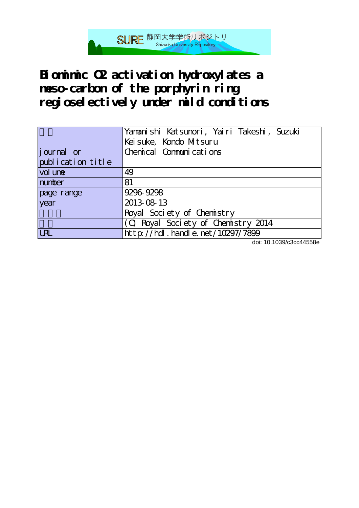

**Biomimic O2 activation hydroxylates a meso-carbon of the porphyrin ring regioselectively under mild conditions**

|                   | Yananishi Katsunori, Yairi Takeshi, Suzuki |
|-------------------|--------------------------------------------|
|                   | Keisuke, Kondo Mitsuru                     |
| journal or        | Chemical Communications                    |
| publication title |                                            |
| vol une           | 49                                         |
| number            | 81                                         |
| page range        | 9296-9298                                  |
| year              | 2013-08-13                                 |
|                   | Royal Society of Chemistry                 |
|                   | (C) Royal Society of Chemistry 2014        |
| URL               | http://hdl.handle.net/10297/7899           |

doi: 10.1039/c3cc44558e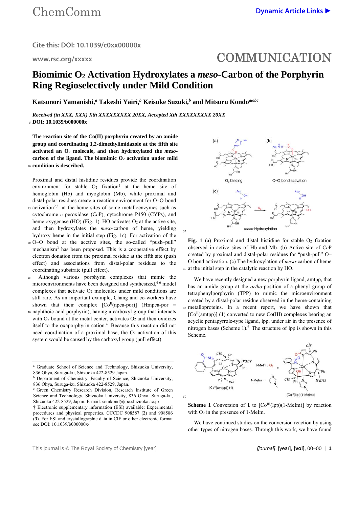**www.rsc.org/xxxxx** 

## COMMUNICATION

## **Biomimic O2 Activation Hydroxylates a** *meso***-Carbon of the Porphyrin Ring Regioselectively under Mild Condition**

35

**Katsunori Yamanishi,***<sup>a</sup>*  **Takeshi Yairi,***<sup>b</sup>*  **Keisuke Suzuki,***<sup>b</sup>*  **and Mitsuru Kondo\****abc*

*Received (in XXX, XXX) Xth XXXXXXXXX 20XX, Accepted Xth XXXXXXXXX 20XX*  <sup>5</sup>**DOI: 10.1039/b000000x** 

**The reaction site of the Co(II) porphyrin created by an amide group and coordinating 1,2-dimethylimidazole at the fifth site activated an O2 molecule, and then hydroxylated the** *meso*carbon of the ligand. The biomimic O<sub>2</sub> activation under mild <sup>10</sup>**condition is described.** 

Proximal and distal histidine residues provide the coordination environment for stable  $O_2$  fixation<sup>1</sup> at the heme site of hemoglobin (Hb) and myoglobin (Mb), while proximal and distal-polar residues create a reaction environment for O–O bond

- 15 activation<sup>2,3</sup> at the heme sites of some metalloenzymes such as cytochrome *c* peroxidase (C*c*P), cytochrome P450 (CYPs), and heme oxygenase (HO) (Fig. 1). HO activates  $O_2$  at the active site, and then hydroxylates the *meso*-carbon of heme, yielding hydroxy heme in the initial step (Fig. 1c). For activation of the
- 20 O–O bond at the acctive sites, the so-called "push–pull" mechanism3 has been proposed. This is a cooperative effect by electron donation from the proximal residue at the fifth site (push effect) and associations from distal-polar residues to the coordinating substrate (pull effect).
- 25 Although various porphyrin complexes that mimic the microenvironments have been designed and synthesized,<sup>4-6</sup> model complexes that activate O2 molecules under mild conditions are still rare. As an important example, Chang and co-workers have shown that their complex  $[Co<sup>H</sup>(npca-por)]$  (H<sub>2</sub>npca-por =
- 30 naphthoic acid porphyrin), having a carboxyl group that interacts with  $O<sub>2</sub>$  bound at the metal center, activates  $O<sub>2</sub>$  and then oxidizes itself to the oxaporphyrin cation.4 Because this reaction did not need coordination of a proximal base, the O<sub>2</sub> activation of this system would be caused by the carboxyl group (pull effect).



Fig. 1 (a) Proximal and distal histidine for stable O<sub>2</sub> fixation observed in active sites of Hb and Mb. (b) Active site of C*c*P created by proximal and distal-polar residues for "push-pull" O– O bond activation. (c) The hydroxylation of *meso*-carbon of heme 40 at the initial step in the catalytic reaction by HO.

We have recently designed a new porphyrin ligand, amtpp, that has an amide group at the *ortho*-position of a phenyl group of tetraphenylporphyrin (TPP) to mimic the microenvironment created by a distal-polar residue observed in the heme-containing 45 metalloproteins. In a recent report, we have shown that  $[Co<sup>H</sup>(amtp)]$  (1) converted to new Co(III) complexes bearing an acyclic pentapyrrole-type ligand, lpp, under air in the presence of nitrogen bases (Scheme  $1$ ).<sup>6</sup> The structure of lpp is shown in this Scheme.



**Scheme 1** Conversion of **1** to  $[Co^{III}(1pp)(1-Melm)]$  by reaction with  $O<sub>2</sub>$  in the presence of 1-MeIm.

 We have continued studies on the conversion reaction by using other types of nitrogen bases. Through this work, we have found

This journal is © The Royal Society of Chemistry [year] *[journal]*, [year], **[vol]**, 00–00 | **1**

<sup>&</sup>lt;sup>a</sup> Graduate School of Science and Technology, Shizuoka University, 836 Ohya, Suruga-ku, Shizuoka 422-8529 Japan.

**b** Department of Chemistry, Faculty of Science, Shizuoka University, 836 Ohya, Suruga-ku, Shizuoka 422-8529, Japan.

c Green Chemistry Research Division, Research Institute of Green Science and Technology, Shizuoka University, 836 Ohya, Suruga-ku, Shizuoka 422-8529, Japan. E-mail: scmkond@ipc.shizuoka.ac.jp

<sup>†</sup> Electronic supplementary information (ESI) available: Experimental procedures and physical properties. CCCDC 908587 (**2**) and 908586 (**3**). For ESI and crystallographic data in CIF or other electronic format see DOI: 10.1039/b000000x/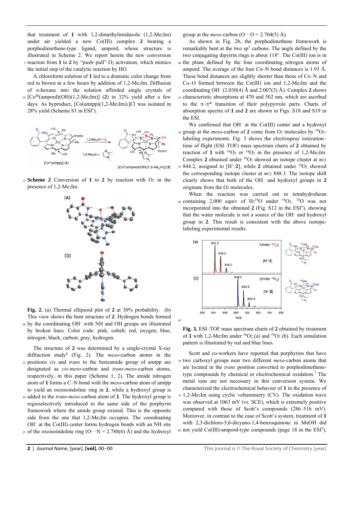that treatment of **1** with 1,2-dimethylimidazole (1,2-Me2Im) under air yielded a new Co(III) complex **2** bearing a porphodimethene-type ligand, ampord, whose structure is illustrated in Scheme 2. We report herein the new conversion 5 reaction from **1** to **2** by "push–pull" O2 activation, which mimics the initial step of the catalytic reaction by HO.

 A chloroform solution of **1** led to a dramatic color change from red to brown in a few hours by addition of 1,2-Me<sub>2</sub>Im. Diffusion of *n*-hexane into the solution afforded single crystals of

 $_{10}$  [Co<sup>III</sup>(ampord)(OH)(1,2-Me<sub>2</sub>Im)] (2) in 32% yield after a few days. As byproduct, [Co(amtpp)(1,2-Me2Im)2]Cl was isolated in 28% yield (Scheme S1 in ESI†).



<sup>15</sup>**Scheme 2** Conversion of **1** to **2** by reaction with O2 in the presence of 1,2-Me2Im.



**Fig. 2.** (a) Thermal ellipsoid plot of **2** at 30% probability. (b) This view shows the bent structure of **2**. Hydrogen bonds formed 20 by the coordinating OH<sup>-</sup> with NH and OH groups are illustrated by broken lines. Color code: pink, cobalt; red, oxygen; blue, nitrogen; black, carbon; gray, hydrogen.

 The structure of **2** was determined by a single-crystal X-ray diffraction study8 (Fig. 2). The *meso*-carbon atoms in the 25 positions *cis* and *trans* to the benzamide group of amtpp are designated as *cis*-*meso*-carbon and *trans*-*meso*-carbon atoms, respectively, in this paper (Scheme 1, 2). The amide nitrogen atom of **1** forms a C–N bond with the *meso*-carbon atom of amtpp to yield an oxoisoindoline ring in **2**, while a hydroxyl group is

30 added to the *trans*-*meso*-carbon atom of **1**. The hydroxyl group is regioselectively introduced to the same side of the porphyrin framework where the amide group existed. This is the opposite side from the one that 1,2-Me2Im occupies. The coordinating OH– at the Co(III) center forms hydrogen bonds with an NH site

35 of the oxoisoindoline ring  $(O \cdot \cdot N = 2.788(6)$  Å) and the hydroxyl

group at the *meso*-carbon  $(O \cdot \cdot O = 2.704(5)$  Å).

 As shown in Fig. 2b, the porphodimethene framework is remarkably bent at the two sp<sup>3</sup> carbons. The angle defined by the two conjugating dipyrrin rings is about 118°. The Co(III) ion is in 40 the plane defined by the four coordinating nitrogen atoms of ampord. The average of the four Co–N bond distances is 1.93 Å. These bond distances are slightly shorter than those of Co–N and  $Co-O$  formed between the  $Co(III)$  ion and 1,2-Me<sub>2</sub>Im and the coordinating OH– (2.030(4) Å and 2.007(3) Å). Complex **2** shows 45 characteristic absorptions at 470 and 502 nm, which are ascribed to the  $\pi-\pi^*$  transition of their polypyrrole parts. Charts of absorption spectra of **1** and **2** are shown in Figs. S18 and S19 in the ESI.

We confirmed that OH<sup>-</sup> at the Co(III) center and a hydroxyl  $\mu$  so group at the *meso*-carbon of 2 come from  $O_2$  molecules by  $\mu$ <sup>8</sup>O<sub>2</sub>labeling experiments. Fig. 3 shows the electrospray ionization– time of flight (ESI–TOF) mass spectrum charts of **2** obtained by reaction of 1 with  ${}^{16}O_2$  or  ${}^{18}O_2$  in the presence of 1,2-Me<sub>2</sub>Im. Complex 2 obtained under <sup>16</sup>O<sub>2</sub> showed an isotope cluster at  $m/z$  $55844.2$ , assigned to  $[H^+.2]$ , while 2 obtained under  $^{18}O_2$  showed the corresponding isotope cluster at *m*/*z* 848.3. The isotope shift clearly shows that both of the OH– and hydroxyl groups in **2** originate from the O2 molecules.

 When the reaction was carried out in tetrahydrofuran 60 containing 2,000 equiv of  $H_2^{18}O$  under  ${}^{16}O_2$ ,  ${}^{18}O$  was not incorporated into the obtained **2** (Fig. S12 in the ESI†), showing that the water molecule is not a source of the OH– and hydroxyl group in **2**. This result is consistent with the above isotopelabeling experimental results.



**Fig. 3.** ESI–TOF mass spectrum charts of **2** obtained by treatment of 1 with 1,2-Me<sub>2</sub>Im under  ${}^{16}O_2$  (a) and  ${}^{18}O_2$  (b). Each simulation pattern is illustrated by red and blue lines.

65

 Scott and co-workers have reported that porphyrins that have 70 two carboxyl groups near two different *meso*-carbon atoms that are located in the *trans* position converted to porphodimethenetype compounds by chemical or electrochemical oxidation.7 The metal ions are not necessary in this conversion system. We characterized the electrochemical behavior of **1** in the presence of 75 1,2-Me2Im using cyclic voltammetry (CV). The oxidation wave was observed at 1063 mV (vs. SCE), which is extremely positive compared with those of Scott's compounds (286–516 mV). Moreover, in contrast to the case of Scott's system, treatment of **1** with 2,3-dichloro-5,6-dicyano-1,4-benzoquinone in MeOH did so not yield  $Co(III)$ -ampord-type compounds (page 18 in the ESI<sup>†</sup>),